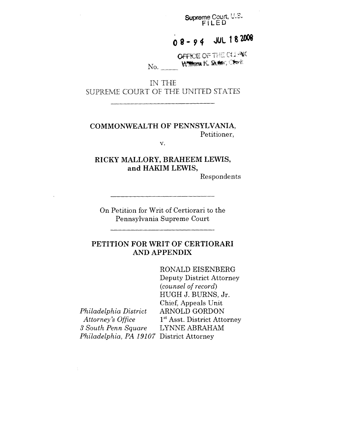**Supreme Court, U.S.**<br>FILED

#### **JUL 182008**  $08 - 94$

OFFICE OF THE CLEW William K. Suber, Check No.

IN THE SUPREME COURT OF THE UNITED STATES

## COMMONWEALTH OF **PENNSYLVANIA,** Petitioner,

V.

# **RICKY MALLORY, BRAHEEM LEWIS, and HAKIM LEWIS,**

Respondents

On Petition for Writ of Certiorari to the Pennsylvania Supreme Court

# **PETITION FOR WRIT OF CERTIORARI AND APPENDIX**

*Philadelphia District Attorney's Office 3 South Penn Square Philadelphia, PA 19107* District AttorneyRONALD EISENBERG Deputy District Attorney *(counsel of record)* HUGH J. BURNS, Jr. Chief, Appeals Unit ARNOLD GORDON  $1<sup>st</sup>$  Asst. District Attorney LYNNE ABRAHAM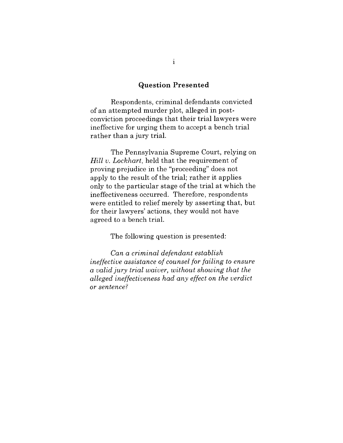#### **Question Presented**

Respondents, criminal defendants convicted of an attempted murder plot, alleged in postconviction proceedings that their trial lawyers were ineffective for urging them to accept a bench trial rather than a jury trial.

The Pennsylvania Supreme Court, relying on *Hill v. Lockhart,* held that the requirement of proving prejudice in the "proceeding" does not apply to the result of the trial; rather it applies only to the particular stage of the trial at which the ineffectiveness occurred. Therefore, respondents were entitled to relief merely by asserting that, but for their lawyers' actions, they would not have agreed to a bench trial.

The following question is presented:

*Can a criminal defendant establish ineffective assistance of counsel for failing to ensure a valid jury trial waiver, without showing that the alleged ineffectiveness had any effect on the verdict or sentence?*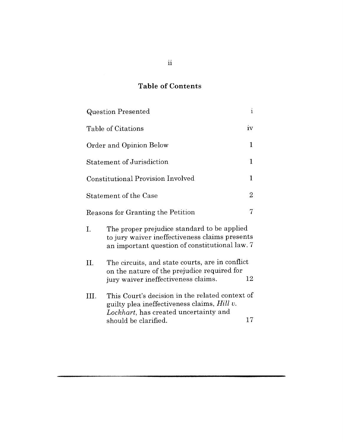# **Table of Contents**

| <b>Question Presented</b>                                |                                                                                                                                                                 |    |
|----------------------------------------------------------|-----------------------------------------------------------------------------------------------------------------------------------------------------------------|----|
| iv<br>Table of Citations                                 |                                                                                                                                                                 |    |
| 1<br>Order and Opinion Below                             |                                                                                                                                                                 |    |
| $\mathbf 1$<br><b>Statement of Jurisdiction</b>          |                                                                                                                                                                 |    |
| $\mathbf{1}$<br><b>Constitutional Provision Involved</b> |                                                                                                                                                                 |    |
| $\overline{2}$<br><b>Statement of the Case</b>           |                                                                                                                                                                 |    |
| 7<br>Reasons for Granting the Petition                   |                                                                                                                                                                 |    |
| Ι.                                                       | The proper prejudice standard to be applied<br>to jury waiver ineffectiveness claims presents<br>an important question of constitutional law. 7                 |    |
| II.                                                      | The circuits, and state courts, are in conflict<br>on the nature of the prejudice required for<br>12<br>jury waiver ineffectiveness claims.                     |    |
| Ш.                                                       | This Court's decision in the related context of<br>guilty plea ineffectiveness claims, Hill v.<br>Lockhart, has created uncertainty and<br>should be clarified. | 17 |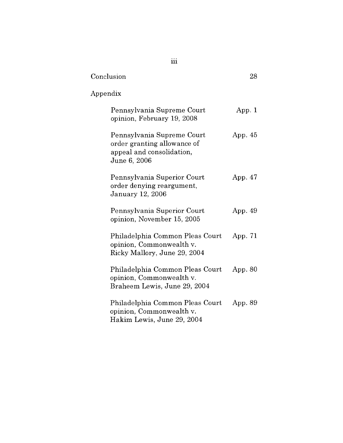| Conclusion                                                                                             | 28        |
|--------------------------------------------------------------------------------------------------------|-----------|
| Appendix                                                                                               |           |
| Pennsylvania Supreme Court<br>opinion, February 19, 2008                                               | App. $1$  |
| Pennsylvania Supreme Court<br>order granting allowance of<br>appeal and consolidation,<br>June 6, 2006 | App. $45$ |
| Pennsylvania Superior Court<br>order denying reargument,<br>January 12, 2006                           | App. 47   |
| Pennsylvania Superior Court<br>opinion, November 15, 2005                                              | App. 49   |
| Philadelphia Common Pleas Court<br>opinion, Commonwealth v.<br>Ricky Mallory, June 29, 2004            | App. $71$ |
| Philadelphia Common Pleas Court<br>opinion, Commonwealth v.<br>Braheem Lewis, June 29, 2004            | App. 80   |
| Philadelphia Common Pleas Court<br>opinion, Commonwealth v.<br>Hakim Lewis, June 29, 2004              | App. 89   |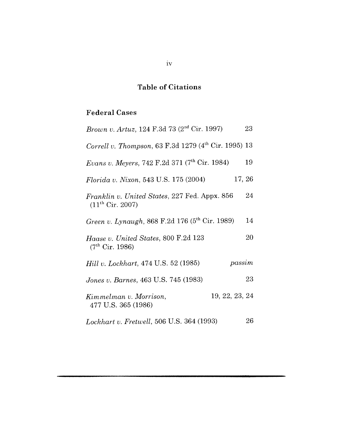# **Table of Citations**

# **Federal Cases**

| Brown v. Artuz, 124 F.3d 73 (2 <sup>nd</sup> Cir. 1997)                | 23     |
|------------------------------------------------------------------------|--------|
| Correll v. Thompson, 63 F.3d 1279 (4 <sup>th</sup> Cir. 1995) 13       |        |
| Evans v. Meyers, 742 F.2d 371 (7th Cir. 1984)                          | 19     |
| Florida v. Nixon, 543 U.S. 175 (2004)                                  | 17, 26 |
| Franklin v. United States, 227 Fed. Appx. 856<br>$(11^{th}$ Cir. 2007) | 24     |
| Green v. Lynaugh, 868 F.2d 176 (5 <sup>th</sup> Cir. 1989)             | 14     |
| Haase v. United States, 800 F.2d 123<br>(7 <sup>th</sup> Cir. 1986)    | 20     |
| passim<br><i>Hill v. Lockhart, 474 U.S. 52 (1985)</i>                  |        |
| Jones v. Barnes, 463 U.S. 745 (1983)                                   | 23     |
| 19, 22, 23, 24<br>Kimmelman v. Morrison,<br>477 U.S. 365 (1986)        |        |
| <i>Lockhart v. Fretwell</i> , 506 U.S. 364 (1993)                      | 26     |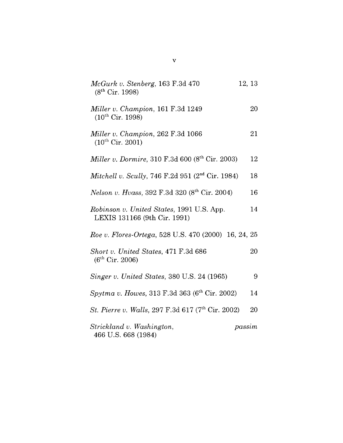| McGurk v. Stenberg, 163 F.3d 470<br>(8 <sup>th</sup> Cir. 1998)           | 12, 13 |    |
|---------------------------------------------------------------------------|--------|----|
| Miller v. Champion, 161 F.3d 1249<br>$(10^{th}$ Cir. 1998)                |        | 20 |
| Miller v. Champion, 262 F.3d 1066<br>$(10^{th}$ Cir. 2001)                |        | 21 |
| <i>Miller v. Dormire,</i> 310 F.3d 600 ( $8^{th}$ Cir. 2003)              |        | 12 |
| Mitchell v. Scully, 746 F.2d 951 (2 <sup>nd</sup> Cir. 1984)              |        | 18 |
| Nelson v. Hvass, 392 F.3d 320 (8 <sup>th</sup> Cir. 2004)                 |        | 16 |
| Robinson v. United States, 1991 U.S. App.<br>LEXIS 131166 (9th Cir. 1991) |        | 14 |
| Roe v. Flores-Ortega, 528 U.S. 470 (2000) 16, 24, 25                      |        |    |
| Short v. United States, 471 F.3d 686<br>$(6^{th}$ Cir. 2006)              |        | 20 |
| Singer v. United States, 380 U.S. 24 (1965)                               |        | 9  |
| Spytma v. Howes, 313 F.3d 363 ( $6th$ Cir. 2002)                          |        | 14 |
| <i>St. Pierre v. Walls, 297 F.3d 617 (7<sup>th</sup> Cir. 2002)</i>       |        | 20 |
| Strickland v. Washington,<br>466 U.S. 668 (1984)                          | passim |    |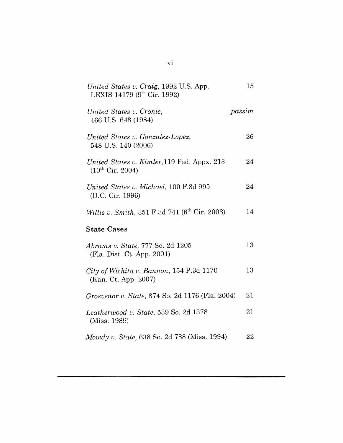| United States v. Craig, 1992 U.S. App.<br>LEXIS 14179 ( $9^{th}$ Cir. 1992) | 15     |
|-----------------------------------------------------------------------------|--------|
| United States v. Cronic,<br>466 U.S. 648 (1984)                             | passim |
| United States v. Gonzalez-Lopez,<br>548 U.S. 140 (2006)                     | 26     |
| United States v. Kimler, 119 Fed. Appx. 213<br>$(10^{th}$ Cir. 2004)        | 24     |
| United States v. Michael, 100 F.3d 995<br>(D.C. Cir. 1996)                  | 24     |
| Willis v. Smith, 351 F.3d 741 (6 <sup>th</sup> Cir. 2003)                   | 14     |
| <b>State Cases</b>                                                          |        |
| <i>Abrams v. State, 777 So. 2d 1205</i><br>(Fla. Dist. Ct. App. 2001)       | 13     |
| City of Wichita v. Bannon, 154 P.3d 1170<br>(Kan. Ct. App. 2007)            | 13     |
| Grosvenor v. State, 874 So. 2d 1176 (Fla. 2004)                             | 21     |
| Leatherwood v. State, 539 So. 2d 1378<br>(Miss. 1989)                       | 21     |
| Mowdy v. State, 638 So. 2d 738 (Miss. 1994)                                 | 22     |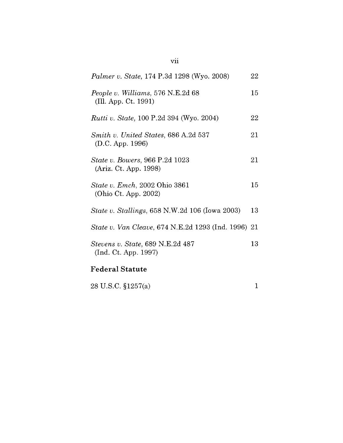| <i>Palmer v. State, 174 P.3d 1298 (Wyo. 2008)</i>                | 22 |
|------------------------------------------------------------------|----|
| <i>People v. Williams,</i> 576 N.E.2d 68<br>(Ill. App. Ct. 1991) | 15 |
| <i>Rutti v. State, 100 P.2d 394 (Wyo. 2004)</i>                  | 22 |
| Smith v. United States, 686 A.2d 537<br>(D.C. App. 1996)         | 21 |
| <i>State v. Bowers, 966 P.2d 1023</i><br>(Ariz. Ct. App. 1998)   | 21 |
| State v. Emch, 2002 Ohio 3861<br>(Ohio Ct. App. 2002)            | 15 |
| <i>State v. Stallings, 658 N.W.2d 106 (Iowa 2003)</i>            | 13 |
| State v. Van Cleave, 674 N.E.2d 1293 (Ind. 1996) 21              |    |
| <i>Stevens v. State, 689 N.E.2d 487</i><br>(Ind. Ct. App. 1997)  | 13 |

# **Federal Statute**

28 U.S.C. §1257(a) 1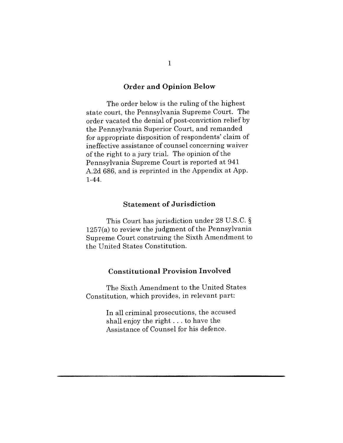#### **Order and Opinion Below**

The order below is the ruling of the highest state court, the Pennsylvania Supreme Court. The order vacated the denial of post-conviction relief by the Pennsylvania Superior Court, and remanded for appropriate disposition of respondents' claim of ineffective assistance of counsel concerning waiver of the right to a jury trial. The opinion of the Pennsylvania Supreme Court is reported at 941 A.2d 686, and is reprinted in the Appendix at App. 1-44.

## **Statement of Jurisdiction**

This Court has jurisdiction under 28 U.S.C. § 1257(a) to review the judgment of the Pennsylvania Supreme Court construing the Sixth Amendment to the United States Constitution.

### **Constitutional Provision Involved**

The Sixth Amendment to the United States Constitution, which provides, in relevant part:

> In all criminal prosecutions, the accused shall enjoy the right.., to have the Assistance of Counsel for his defence.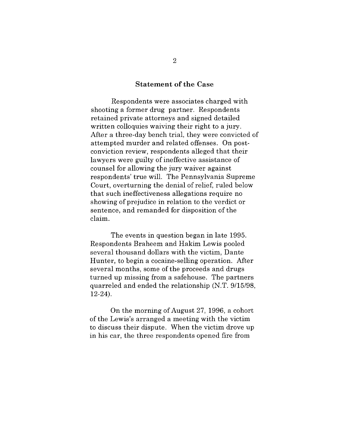#### **Statement of the Case**

Respondents were associates charged with shooting a former drug partner. Respondents retained private attorneys and signed detailed written colloquies waiving their right to a jury. After a three-day bench trial, they were convicted of attempted murder and related offenses. On postconviction review, respondents alleged that their lawyers were guilty of ineffective assistance of counsel for allowing the jury waiver against respondents' true will. The Pennsylvania Supreme Court, overturning the denial of relief, ruled below that such ineffectiveness allegations require no showing of prejudice in relation to the verdict or sentence, and remanded for disposition of the claim.

The events in question began in late 1995. Respondents Braheem and Hakim Lewis pooled several thousand dollars with the victim, Dante Hunter, to begin a cocaine-selling operation. After several months, some of the proceeds and drugs turned up missing from a safehouse. The partners quarreled and ended the relationship (N.T. 9/15/98, 12-24).

On the morning of August 27, 1996, a cohort of the Lewis's arranged a meeting with the victim to discuss their dispute. When the victim drove up in his car, the three respondents opened fire from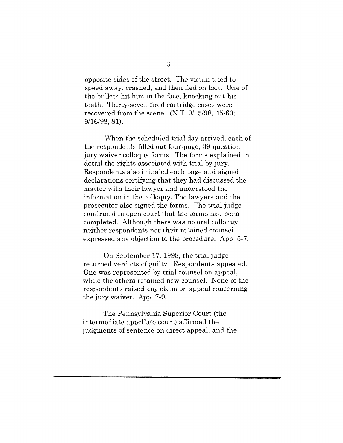opposite sides of the street. The victim tried to speed away, crashed, and then fled on foot. One of the bullets hit him in the face, knocking out his teeth. Thirty-seven fired cartridge cases were recovered from the scene. (N.T. 9/15/98, 45-60; 9/16/98, 81).

When the scheduled trial day arrived, each of the respondents filled out four-page, 39-question jury waiver colloquy forms. The forms explained in detail the rights associated with trial by jury. Respondents also initialed each page and signed declarations certifying that they had discussed the matter with their lawyer and understood the information in the colloquy. The lawyers and the prosecutor also signed the forms. The trial judge confirmed in open court that the forms had been completed. Although there was no oral colloquy, neither respondents nor their retained counsel expressed any objection to the procedure. App. 5-7.

On September 17, 1998, the trial judge returned verdicts of guilty. Respondents appealed. One was represented by trial counsel on appeal, while the others retained new counsel. None of the respondents raised any claim on appeal concerning the jury waiver. App. 7-9.

The Pennsylvania Superior Court (the intermediate appellate court) affirmed the judgments of sentence on direct appeal, and the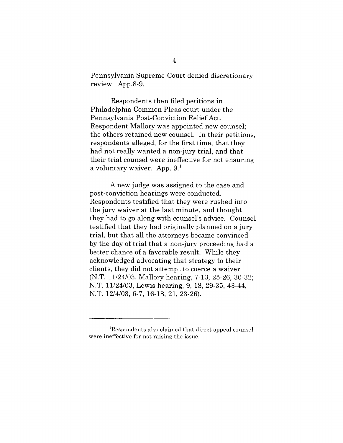Pennsylvania Supreme Court denied discretionary review. App.8-9.

Respondents then filed petitions in Philadelphia Common Pleas court under the Pennsylvania Post-Conviction Relief Act. Respondent Mallory was appointed new counsel; the others retained new counsel. In their petitions, respondents alleged, for the first time, that they had not really wanted a non-jury trial, and that their trial counsel were ineffective for not ensuring a voluntary waiver. App.  $9<sup>1</sup>$ 

A new judge was assigned to the case and post-conviction hearings were conducted. Respondents testified that they were rushed into the jury waiver at the last minute, and thought they had to go along with counsel's advice. Counsel testified that they had originally planned on a jury trial, but that all the attorneys became convinced by the day of trial that a non-jury proceeding had a better chance of a favorable result. While they acknowledged advocating that strategy to their clients, they did not attempt to coerce a waiver (N.T. 11/24/03, Mallory hearing, 7-13, 25-26, 30-32; N.T. 11/24/03, Lewis hearing, 9, 18, 29-35, 43-44; N.T. 12/4/03, 6-7, 16-18, 21, 23-26).

<sup>1</sup>Respondents also claimed that direct appeal counsel were ineffective for not raising the issue.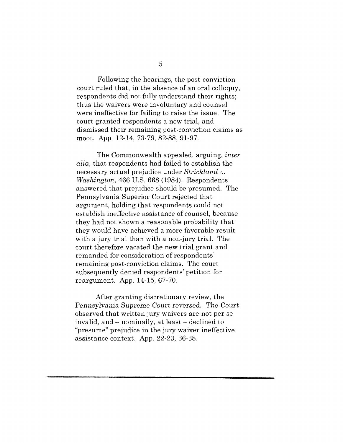Following the hearings, the post-conviction court ruled that, in the absence of an oral colloquy, respondents did not fully understand their rights; thus the waivers were involuntary and counsel were ineffective for failing to raise the issue. The court granted respondents a new trial, and dismissed their remaining post-conviction claims as moot. App. 12-14, 73-79, 82-88, 91-97.

The Commonwealth appealed, arguing, *inter alia,* that respondents had failed to establish the necessary actual prejudice under *Strickland v. Washington,* 466 U.S. 668 (1984). Respondents answered that prejudice should be presumed. The Pennsylvania Superior Court rejected that argument, holding that respondents could not establish ineffective assistance of counsel, because they had not shown a reasonable probability that they would have achieved a more favorable result with a jury trial than with a non-jury trial. The court therefore vacated the new trial grant and remanded for consideration of respondents' remaining post-conviction claims. The court subsequently denied respondents' petition for reargument. App. 14-15, 67-70.

After granting discretionary review, the *Pennsylvania* Supreme Court *reversed.* The *Court* observed that written jury waivers are not per se invalid, and  $-$  nominally, at least  $-$  declined to "presume" prejudice in the jury waiver ineffective assistance context. App. 22-23, 36-38.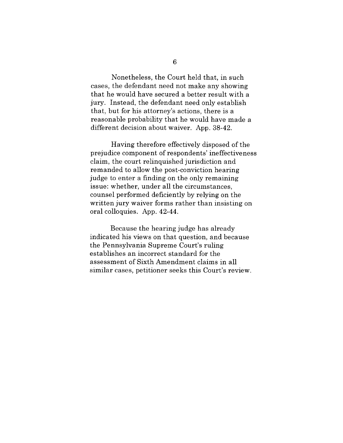Nonetheless, the Court held that, in such cases, the defendant need not make any showing that he would have secured a better result with a jury. Instead, the defendant need only establish that, but for his attorney's actions, there is a reasonable probability that he would have made a different decision about waiver. App. 38-42.

Having therefore effectively disposed of the prejudice component of respondents' ineffectiveness claim, the court relinquished jurisdiction and remanded to allow the post-conviction hearing judge to enter a finding on the only remaining issue: whether, under all the circumstances, counsel performed deficiently by relying on the written jury waiver forms rather than insisting on oral colloquies. App. 42-44.

Because the hearing judge has already indicated his views on that question, and because the Pennsylvania Supreme Court's ruling establishes an incorrect standard for the assessment of Sixth Amendment claims in all similar cases, petitioner seeks this Court's review.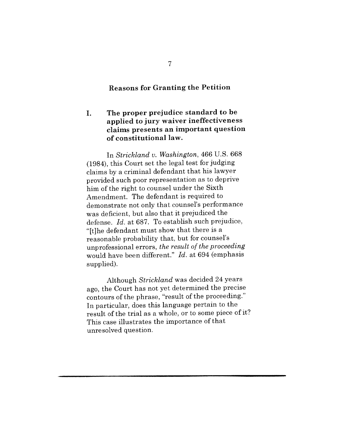## **Reasons for Granting the Petition**

#### **The proper prejudice standard to be** I. **applied to jury waiver ineffectiveness claims presents an important question of constitutional law.**

In *Strickland v. Washington,* 466 U.S. 668 (1984), this Court set the legal test for judging claims by a criminal defendant that his lawyer provided such poor representation as to deprive him of the right to counsel under the Sixth Amendment. The defendant is required to demonstrate not only that counsel's performance was deficient, but also that it prejudiced the defense. *Id.* at 687. To establish such prejudice, "[t]he defendant must show that there is a reasonable probability that, but for counsel's unprofessional errors, *the result of the proceeding* would have been different." *Id.* at 694 (emphasis supplied).

Although *Strickland* was decided 24 years ago, the Court has not yet determined the precise contours of the phrase, "result of the proceeding." In particular, does this language pertain to the result of the trial as a whole, or to some piece of it? This case illustrates the importance of that unresolved question.

 $\overline{7}$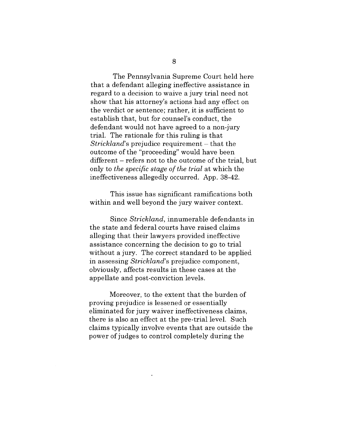The Pennsylvania Supreme Court held here that a defendant alleging ineffective assistance in regard to a decision to waive a jury trial need not show that his attorney's actions had any effect on the verdict or sentence; rather, it is sufficient to establish that, but for counsel's conduct, the defendant would not have agreed to a non-jury trial. The rationale for this ruling is that *Strickland*'s prejudice requirement – that the outcome of the "proceeding" would have been different – refers not to the outcome of the trial, but only to *the specific stage of the trial* at which the ineffectiveness allegedly occurred. App. 38-42.

This issue has significant ramifications both within and well beyond the jury waiver context.

Since *Strickland,* innumerable defendants in the state and federal courts have raised claims alleging that their lawyers provided ineffective assistance concerning the decision to go to trial without a jury. The correct standard to be applied in assessing *Strickland's* prejudice component, obviously, affects results in these cases at the appellate and post-conviction levels.

Moreover, to the extent that the burden of proving prejudice is lessened or essentially eliminated for jury waiver ineffectiveness claims, there is also an effect at the pre-trial level. Such claims typically involve events that are outside the power of judges to control completely during the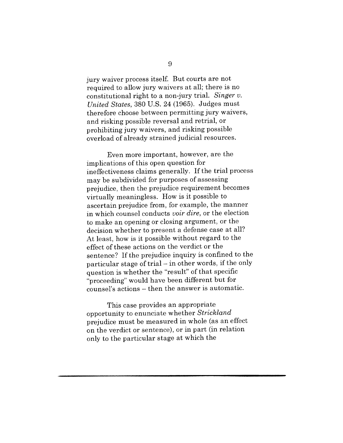jury waiver process itself. But courts are not required to allow jury waivers at all; there is no constitutional right to a non-jury trial. *Singer v. United States,* 380 U.S. 24 (1965). Judges must therefore choose between permitting jury waivers, and risking possible reversal and retrial, or prohibiting jury waivers, and risking possible overload of already strained judicial resources.

Even more important, however, are the implications of this open question for ineffectiveness claims generally. If the trial process may be subdivided for purposes of assessing prejudice, then the prejudice requirement becomes virtually meaningless. How is it possible to ascertain prejudice from, for example, the manner in which counsel conducts *voir dire,* or the election to make an opening or closing argument, or the decision whether to present a defense case at all? At least, how is it possible without regard to the effect of these actions on the verdict or the sentence? If the prejudice inquiry is confined to the particular stage of trial - in other words, if the only question is whether the "result" of that specific "proceeding" would have been different but for counsel's actions - then the answer is automatic.

This case provides an appropriate opportunity to enunciate whether *Strickland* prejudice must be measured in whole (as an effect on the verdict or sentence), or in part (in relation only to the particular stage at which the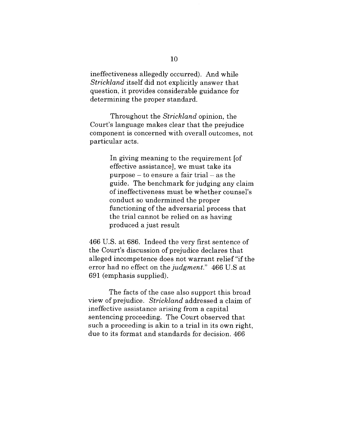ineffectiveness allegedly occurred). And while *Strickland* itself did not explicitly answer that question, it provides considerable guidance for determining the proper standard.

Throughout the *Strickland* opinion, the Court's language makes clear that the prejudice component is concerned with overall outcomes, not particular acts.

> In giving meaning to the requirement [of effective assistance], we must take its  $purpose - to ensure a fair trial - as the$ guide. The benchmark for judging any claim of ineffectiveness must be whether counsel's conduct so undermined the proper functioning of the adversarial process that the trial cannot be relied on as having produced a just result

466 U.S. at 686. Indeed the very first sentence of the Court's discussion of prejudice declares that alleged incompetence does not warrant relief "if the error had no effect on the *judgment."* 466 U.S at 691 (emphasis supplied).

The facts of the case also support this broad view of prejudice. *Strickland* addressed a claim of ineffective assistance arising from a capital sentencing proceeding. The Court observed that such a proceeding is akin to a trial in its own right, due to its format and standards for decision. 466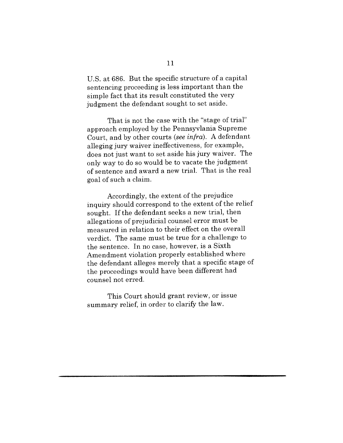U.S. at 686. But the specific structure of a capital sentencing proceeding is less important than the simple fact that its result constituted the very judgment the defendant sought to set aside.

That is not the case with the "stage of trial" approach employed by the Pennsyvlania Supreme Court, and by other courts *(see infra).* A defendant alleging jury waiver ineffectiveness, for example, does not just want to set aside his jury waiver. The only way to do so would be to vacate the judgment of sentence and award a new trial. That is the real goal of such a claim.

Accordingly, the extent of the prejudice inquiry should correspond to the extent of the relief sought. If the defendant seeks a new trial, then allegations of prejudicial counsel error must be measured in relation to their effect on the overall verdict. The same must be true for a challenge to the sentence. In no case, however, is a Sixth Amendment violation properly established where the defendant alleges merely that a specific stage of the proceedings would have been different had counsel not erred.

This Court should grant review, or issue summary relief, in order to clarify the law.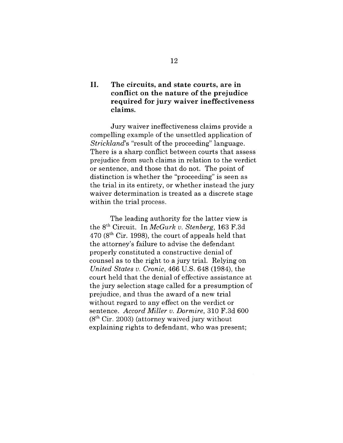## II. **The circuits, and state courts, are in conflict on the nature of the prejudice required for jury waiver ineffectiveness claims.**

Jury waiver ineffectiveness claims provide a compelling example of the unsettled application of *Strickland's* "result of the proceeding" language. There is a sharp conflict between courts that assess prejudice from such claims in relation to the verdict or sentence, and those that do not. The point of distinction is whether the "proceeding" is seen as the trial in its entirety, or whether instead the jury waiver determination is treated as a discrete stage within the trial process.

The leading authority for the latter view is the 8th Circuit. In *McGurk v. Stenberg,* 163 F.3d  $470$  ( $8<sup>th</sup>$  Cir. 1998), the court of appeals held that the attorney's failure to advise the defendant properly constituted a constructive denial of counsel as to the right to a jury trial. Relying on *United States v. Cronic,* 466 U.S. 648 (1984), the court held that the denial of effective assistance at the jury selection stage called for a presumption of prejudice, and thus the award of a new trial without regard to any effect on the verdict or sentence. *Accord Miller v. Dormire,* 310 F.3d 600  $(8<sup>th</sup> Cir. 2003)$  (attorney waived jury without explaining rights to defendant, who was present;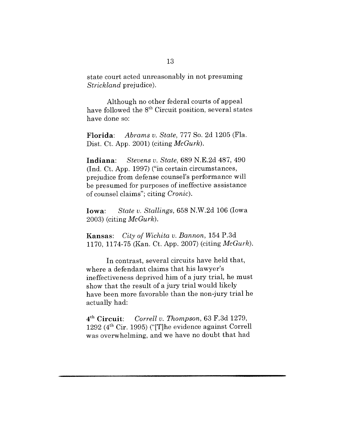state court acted unreasonably in not presuming *Strickland* prejudice).

Although no other federal courts of appeal have followed the 8<sup>th</sup> Circuit position, several states have done so:

**Florida:** *Abrams v. State,* 777 So. 2d 1205 (Fla. Dist. Ct. App. 2001) (citing *McGurk).*

**Indiana:** *Stevens v. State,* 689 N.E.2d 487, 490 (Ind. Ct. App. 1997) ("in certain circumstances, prejudice from defense counsel's performance will be presumed for purposes of ineffective assistance of counsel claims"; citing *Cronic).*

Iowa: *State v. Stallings,* 658 N.W.2d 106 (Iowa 2003) (citing *McGurk).*

**Kansas:** *City of Wichita v. Bannon,* 154 P.3d 1170, 1174-75 (Kan. Ct. App. 2007) (citing *McGurk).*

In contrast, several circuits have held that, where a defendant claims that his lawyer's ineffectiveness deprived him of a jury trial, he must show that the result of a jury trial would likely have been more favorable than the non-jury trial he actually had:

4'h Circuit: *Correll v. Thompson,* 63 F.3d 1279, 1292 (4th Cir. 1995) ("[T]he evidence against Correll was overwhelming, and we have no doubt that had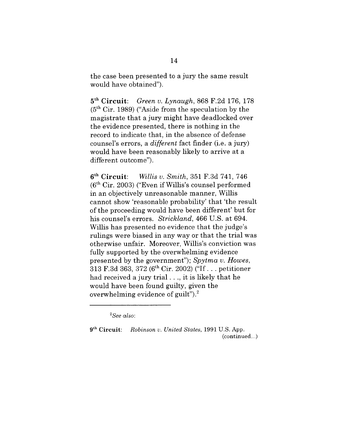the case been presented to a jury the same result would have obtained").

5<sup>th</sup> Circuit: *Green v. Lynaugh, 868 F.2d 176, 1*  $(5<sup>th</sup> Cir. 1989)$  ("Aside from the speculation by the magistrate that a jury might have deadlocked over the evidence presented, there is nothing in the record to indicate that, in the absence of defense counsel's errors, a *different* fact finder (i.e. a jury) would have been reasonably likely to arrive at a different outcome").

 $6<sup>th</sup>$  Circuit: th Circuit: *Willis v. Smith,* 351 F.3d 741, 746  $(6<sup>th</sup> Cir. 2003)$  ("Even if Willis's counsel performed") in an objectively unreasonable manner, Willis cannot show 'reasonable probability' that 'the result of the proceeding would have been different' but for his counsel's errors. *Strickland,* 466 U.S. at 694. Willis has presented no evidence that the judge's rulings were biased in any way or that the trial was otherwise unfair. Moreover, Willis's conviction was fully supported by the overwhelming evidence presented by the government"); *Spytma v. Howes,* 313 F.3d 363, 372 (6th Cir. 2002) ("If... petitioner had received a jury trial..., it is likely that he would have been found guilty, given the overwhelming evidence of guilt").2

*<sup>2</sup>See also:*

**<sup>9</sup>th Circuit:** *Robinson v. United States,* 1991 U.S. App. (continued...)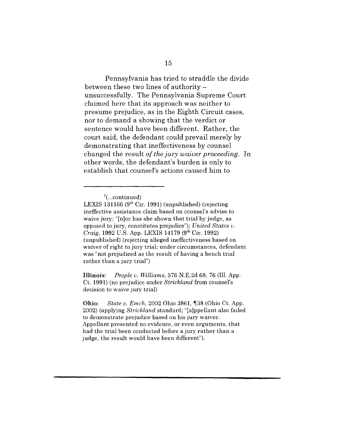Pennsylvania has tried to straddle the divide between these two lines of authority unsuccessfully. The Pennsylvania Supreme Court claimed here that its approach was neither to presume prejudice, as in the Eighth Circuit cases, nor to demand a showing that the verdict or sentence would have been different. Rather, the court said, the defendant could prevail merely by demonstrating that ineffectiveness by counsel changed the result *of the jury waiver proceeding.* In other words, the defendant's burden is only to establish that counsel's actions caused him to

**Illinois:** *People v. Williams,* 576 N.E.2d 68, 76 (Ill. App. Ct. 1991) (no prejudice under *Strickland* from counsel's decision to waive jury trial)

**Ohio:** *State v. Emch,* 2002 Ohio 3861, ¶38 (Ohio Ct. App. 2002) (applying *Strickland* standard; "[a]ppellant also failed to demonstrate prejudice based on his jury waiver. Appellant presented no evidence, or even arguments, that had the trial been conducted before a jury rather than a judge, the result would have been different").

 $^{2}$ (...continued)

LEXIS 131166  $(9<sup>th</sup>$  Cir. 1991) (unpublished) (rejecting ineffective assistance claim based on counsel's advise to waive jury; "[n]or has she shown that trial by judge, as opposed to jury, constitutes prejudice"); *United States v. Craig, 1992 U.S. App. LEXIS 14179 (9<sup>th</sup> Cir. 1992)* (unpublished) (rejecting alleged ineffectiveness based on waiver of right to jury trial; under circumstances, defendant was "not prejudiced as the result of having a bench trial rather than a jury trial")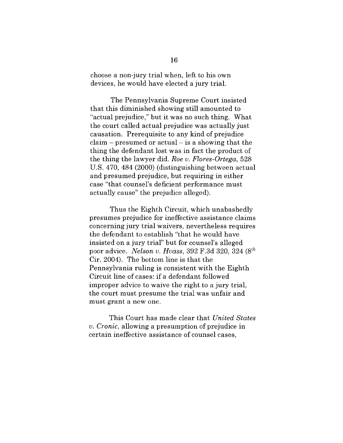choose a non-jury trial when, left to his own devices, he would have elected a jury trial.

The Pennsylvania Supreme Court insisted that this diminished showing still amounted to "actual prejudice," but it was no such thing. What the court called actual prejudice was actually just causation. Prerequisite to any kind of prejudice  $claim - presumed or actual - is a showing that the$ thing the defendant lost was in fact the product of the thing the lawyer did. *Roe v. Flores-Ortega,* 528 U.S. 470, 484 (2000) (distinguishing between actual and presumed prejudice, but requiring in either case "that counsel's deficient performance must actually cause" the prejudice alleged).

Thus the Eighth Circuit, which unabashedly presumes prejudice for ineffective assistance claims concerning jury trial waivers, nevertheless requires the defendant to establish "that he would have insisted on a jury trial" but for counsel's alleged poor advice. *Nelson v. Hvass,* 392 F.3d 320, 324 (8th Cir. 2004). The bottom line is that the Pennsylvania ruling is consistent with the Eighth Circuit line of cases: if a defendant followed improper advice to waive the right to a jury trial, the court must presume the trial was unfair and must grant a new one.

This Court has made clear that *United States v. Cronic,* allowing a presumption of prejudice in certain ineffective assistance of counsel cases,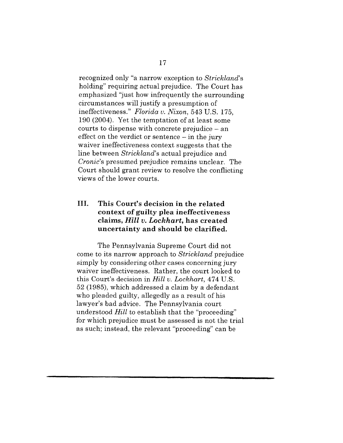recognized only "a narrow exception to *Strickland's* holding" requiring actual prejudice. The Court has emphasized "just how infrequently the surrounding circumstances will justify a presumption of ineffectiveness." *Florida v. Nixon,* 543 U.S. 175, 190 (2004). Yet the temptation of at least some courts to dispense with concrete prejudice - an effect on the verdict or sentence  $-$  in the jury waiver ineffectiveness context suggests that the line between *Strickland's* actual prejudice and *Cronic's* presumed prejudice remains unclear. The Court should grant review to resolve the conflicting views of the lower courts.

## III. **This Court's decision in the related context of guilty plea ineffectiveness claims,** *Hill v. Lockhart,* **has created uncertainty and should be clarified.**

The Pennsylvania Supreme Court did not come to its narrow approach to *Strickland* prejudice simply by considering other cases concerning jury waiver ineffectiveness. Rather, the court looked to this Court's decision in *Hill v. Lockhart,* 474 U.S. 52 (1985), which addressed a claim by a defendant who pleaded guilty, allegedly as a result of his lawyer's bad advice. The Pennsylvania court understood *Hill* to establish that the "proceeding" for which prejudice must be assessed is not the trial as such; instead, the relevant "proceeding" can be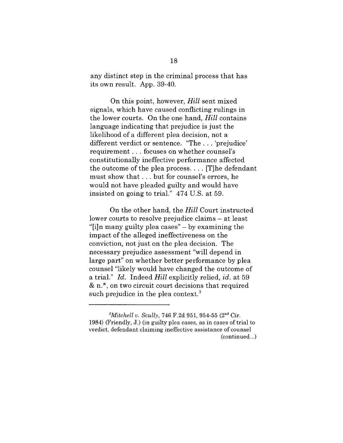any distinct step in the criminal process that has its own result. App. 39-40.

On this point, however, *Hill* sent mixed signals, which have caused conflicting rulings in the lower courts. On the one hand, *Hill* contains language indicating that prejudice is just the likelihood of a different plea decision, not a different verdict or sentence. "The... 'prejudice' requirement.., focuses on whether counsel's constitutionally ineffective performance affected the outcome of the plea process .... [T]he defendant must show that.., but for counsel's errors, he would not have pleaded guilty and would have insisted on going to trial." 474 U.S. at 59.

On the other hand, the *Hill* Court instructed lower courts to resolve prejudice claims – at least "[i]n many guilty plea cases" - by examining the impact of the alleged ineffectiveness on the conviction, not just on the plea decision. The necessary prejudice assessment "will depend in large part" on whether better performance by plea. counsel "likely would have changed the outcome of a trial." *Id.* Indeed *Hill* explicitly relied, *id.* at 59 & n.\*, on two circuit court decisions that required such prejudice in the plea context.<sup>3</sup>

*<sup>3</sup>Mitchell v. Scully,* 746 F.2d 951, 954-55 (2nd Cir. 1984) (Friendly, J.) (in guilty plea cases, as in cases of trial to verdict, defendant claiming ineffective assistance of counsel (continued...)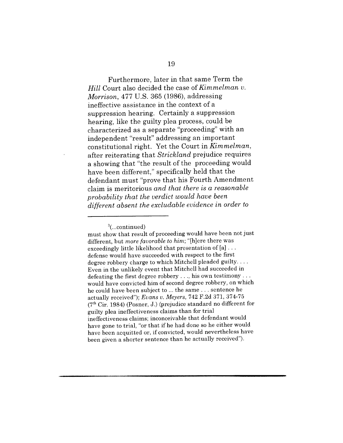Furthermore, later in that same Term the *Hill* Court also decided the case of *Kimmelman v. Morrison,* 477 U.S. 365 (1986), addressing ineffective assistance in the context of a suppression hearing. Certainly a suppression hearing, like the guilty plea process, could be characterized as a separate "proceeding" with an independent "result" addressing an important constitutional right. Yet the Court in *Kimmelman,* after reiterating that *Strickland* prejudice requires a showing that "the result of the proceeding would have been different," specifically held that the defendant must "prove that his Fourth Amendment claim is meritorious *and that there is a reasonable probability that the verdict would have been different absent the excludable evidence in order to*

 $3$ (...continued)

must show that result of proceeding would have been not just different, but *more favorable to him;* "[h]ere there was exceedingly little likelihood that presentation of [a]... defense would have succeeded with respect to the first degree robbery charge to which Mitchell pleaded guilty.... Even in the unlikely event that Mitchell had succeeded in defeating the first degree robbery .... his own testimony... would have convicted him of second degree robbery, on which he could have been subject to ... the same.., sentence he actually received"); *Evans v. Meyers,* 742 F.2d 371, 374-75  $(7<sup>th</sup> Cir. 1984)$  (Posner, J.) (prejudice standard no different for guilty plea ineffectiveness claims than for trial ineffectiveness claims; inconceivable that defendant would have gone to trial, "or that if he had done so he either would have been acquitted or, if convicted, would nevertheless have been given a shorter sentence than he actually received").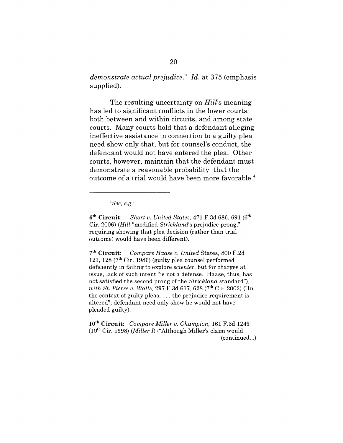*demonstrate actual prejudice." Id.* at 375 (emphasis supplied).

The resulting uncertainty on *Hill's* meaning has led to significant conflicts in the lower courts, both between and within circuits, and among state courts. Many courts hold that a defendant alleging ineffective assistance in connection to a guilty plea need show only that, but for counsel's conduct, the defendant would not have entered the plea. Other courts, however, maintain that the defendant must demonstrate a reasonable probability that the outcome of a trial would have been more favorable.<sup>4</sup>

*4See, e.g.:*

6 th Circuit: *Short v. United States,* 471 F.3d 686, 691 (6 Cir. 2006) *(Hill* "modified *Strickland's* prejudice prong," requiring showing that plea decision (rather than trial outcome) would have been different).

7 th Circuit: *Compare Haase v. United* States, 800 F.2d 123, 128  $(7<sup>th</sup> Cir. 1986)$  (guilty plea counsel performed deficiently in failing to explore *scienter,* but for charges at issue, lack of such intent "is not a defense. Haase, thus, has not satisfied the second prong of the *Strickland* standard"), *with St. Pierre v. Walls, 297 F.3d 617, 628 (7<sup>th</sup> Cir. 2002)* ("In the context of guilty pleas,  $\dots$  the prejudice requirement is altered"; defendant need only show he would not have pleaded guilty).

10th Circuit: *Compare Miller v. Champion,* 161 F.3d 1249 (10th Cir. 1998) *(Miller 1)* ("Although Miller's claim would (continued...)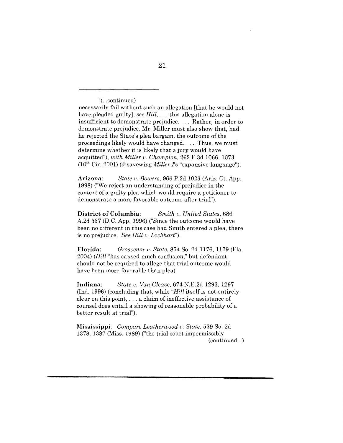$4$ (...continued)

necessarily fail without such an allegation [that he would not have pleaded guilty], *see Hill,...* this allegation alone is insufficient to demonstrate prejudice .... Rather, in order to demonstrate prejudice, Mr. Miller must also show that, had he rejected the State's plea bargain, the outcome of the proceedings likely would have changed .... Thus, we must determine whether it is likely that a jury would have acquitted"), *with Miller v. Champion,* 262 F.3d 1066, 1073 (10th Cir. 2001) (disavowing *Miller/'s* "expansive language").

Arizona: *State v. Bowers,* 966 P.2d 1023 (Ariz. Ct. App. 1998) ("We reject an understanding of prejudice in the context of a guilty plea which would require a petitioner to demonstrate a more favorable outcome after trial").

**District of Columbia:** *Smith v. United States,* 686 A.2d 537 (D.C. App. 1996) ("Since the outcome would have been no different in this case had Smith entered a plea, there is no prejudice. *See Hill v. Lockhart").*

Florida: *Grosvenor v. State,* 874 So. 2d 1176, 1179 (Fla. 2004) *(Hill* "has caused much confusion," but defendant should not be required to allege that trial outcome would have been more favorable than plea)

Indiana: *State v. Van Cleave,* 674 N.E.2d 1293, 1297 (Ind. 1996) (concluding that, while *"Hill* itself is not entirely clear on this point,  $\dots$  a claim of ineffective assistance of counsel does entail a showing of reasonable probability of a better result at trial").

**Mississippi:** *Compare Leatherwood v. State,* 539 So. 2d 1378, 1387 (Miss. 1989) ("the trial court impermissibly (continued...)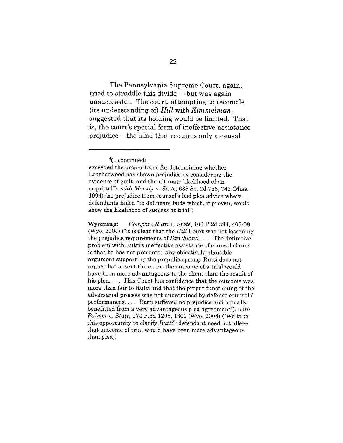The Pennsylvania Supreme Court, again, tried to straddle this divide  $-$  but was again unsuccessful. The court, attempting to reconcile (its understanding of) *Hill* with *Kimmelman,* suggested that its holding would be limited. That is, the court's special form of ineffective assistance prejudice - the kind that requires only a causal

Wyoming: *Compare Rutti v. State,* 100 P.2d 394, 406-08 (Wyo. 2004) ("it is clear that the *Hill* Court was not lessening the prejudice requirements of *Strickland ....* The definitive problem with Rutti's ineffective assistance of counsel claims is that he has not presented any objectively plausible argument supporting the prejudice prong. Rutti does not argue that absent the error, the outcome of a trial would have been more advantageous to the client than the result of his plea.... This Court has confidence that the outcome was more than fair to Rutti and that the proper functioning of the adversarial process was not undermined by defense counsels' performances .... Rutti suffered no prejudice and actually benefitted from a very advantageous plea agreement"), *with Palmer v. State,* 174 P.3d 1298, 1302 (Wyo. 2008) ("We take this opportunity to clarify *Rutti";* defendant need not allege that outcome of trial would have been more advantageous than plea).

 $4$ (...continued)

exceeded the proper focus for determining whether Leatherwood has shown prejudice by considering the evidence of guilt, and the ultimate likelihood of an acquittal"), *with Mowdy v. State,* 638 So. 2d 738, 742 (Miss. 1994) (no prejudice from counsel's bad plea advice where defendants failed "to delineate facts which, if proven, would show the likelihood of success at trial")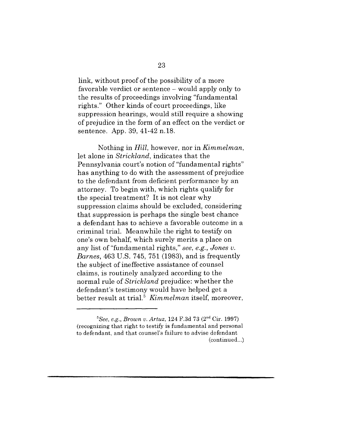link, without proof of the possibility of a more favorable verdict or sentence - would apply only to the results of proceedings involving "fundamental rights." Other kinds of court proceedings, like suppression hearings, would still require a showing of prejudice in the form of an effect on the verdict or sentence. App. 39, 41-42 n.18.

Nothing in *Hill,* however, nor in *Kimmelman,* let alone in *Strickland,* indicates that the Pennsylvania court's notion of "fundamental rights" has anything to do with the assessment of prejudice to the defendant from deficient performance by an attorney. To begin with, which rights qualify for the special treatment? It is not clear why suppression claims should be excluded, considering that suppression is perhaps the single best chance a defendant has to achieve a favorable outcome in a criminal trial. Meanwhile the right to testify on one's own behalf, which surely merits a place on any list of "fundamental rights," *see, e.g., Jones v. Barnes,* 463 U.S. 745, 751 (1983), and is frequently the subject of ineffective assistance of counsel claims, is routinely analyzed according to the normal rule of *Strickland* prejudice: whether the defendant's testimony would have helped get a better result at trial.5 *Kimmelman* itself, moreover,

*<sup>~</sup>See, e.g., Brown v. Artuz,* 124 F.3d 73 (2nd Cir. 1997) (recognizing that right to testify is fundamental and personal to defendant, and that counsel's failure to advise defendant

<sup>(</sup>continued...)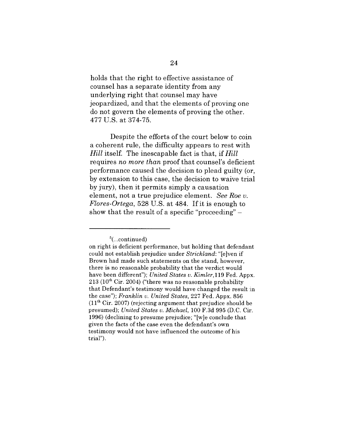holds that the right to effective assistance of counsel has a separate identity from any underlying right that counsel may have jeopardized, and that the elements of proving one do not govern the elements of proving the other. 477 U.S. at 374-75.

Despite the efforts of the court below to coin a coherent rule, the difficulty appears to rest with *Hill* itself. The inescapable fact is that, if *Hill* requires *no more than* proof that counsel's deficient performance caused the decision to plead guilty (or, by extension to this case, the decision to waive trial by jury), then it permits simply a causation element, not a true prejudice element. *See Roe v. Flores-Ortega,* 528 U.S. at 484. If it is enough to show that the result of a specific "proceeding"  $-$ 

 $5$ (...continued)

on right is deficient performance, but holding that defendant could not establish prejudice under *Strickland:* "[e]ven if Brown had made such statements on the stand, however, there is no reasonable probability that the verdict would have been different"): *United States v. Kimler*, 119 Fed. Appx.  $213$  ( $10<sup>th</sup>$  Cir. 2004) ("there was no reasonable probability that Defendant's testimony would have changed the result in the case"); *Franklin v. United States,* 227 Fed. Appx. 856  $(11<sup>th</sup> Cir. 2007)$  (rejecting argument that prejudice should be presumed); *United States v. Michael,* 100 F.3d 995 (D.C. Cir. 1996) (declining to presume prejudice; "[w]e conclude that given the facts of the case even the defendant's own testimony would not have influenced the outcome of his trial").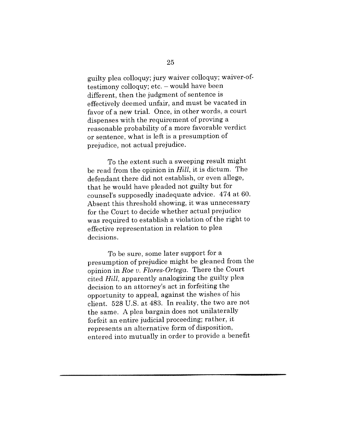guilty plea colloquy; jury waiver colloquy; waiver-oftestimony colloquy; etc. - would have been different, then the judgment of sentence is effectively deemed unfair, and must be vacated in favor of a new trial. Once, in other words, a court dispenses with the requirement of proving a reasonable probability of a more favorable verdict or sentence, what is left is a presumption of prejudice, not actual prejudice.

To the extent such a sweeping result might be read from the opinion in *Hill,* it is dictum. The defendant there did not establish, or even allege, that he would have pleaded not guilty but for counsel's supposedly inadequate advice. 474 at 60. Absent this threshold showing, it was unnecessary for the Court to decide whether actual prejudice was required to establish a violation of the right to effective representation in relation to plea decisions.

To be sure, some later support for a presumption of prejudice might be gleaned from the opinion in *Roe v. Flores-Ortega.* There the Court cited *Hill,* apparently analogizing the guilty plea decision to an attorney's act in forfeiting the opportunity to appeal, against the wishes of his client. 528 U.S. at 483. In reality, the two are not the same. A plea bargain does not unilaterally forfeit an entire judicial proceeding; rather, it represents an alternative form of disposition, entered into mutually in order to provide a benefit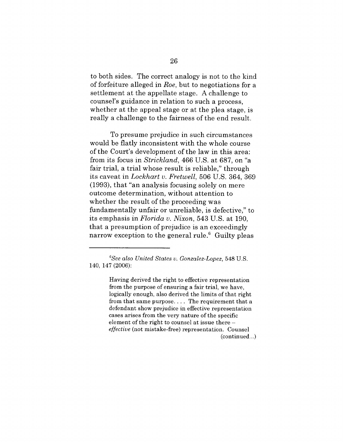to both sides. The correct analogy is not to the kind of forfeiture alleged in *Roe,* but to negotiations for a settlement at the appellate stage. A challenge to counsel's guidance in relation to such a process, whether at the appeal stage or at the plea stage, is really a challenge to the fairness of the end result.

To presume prejudice in such circumstances would be flatly inconsistent with the whole course of the Court's development of the law in this area: from its focus in *Strickland,* 466 U.S. at 687, on "a fair trial, a trial whose result is reliable," through its caveat in *Lockhart v. Fretwell,* 506 U.S. 364, 369 (1993), that "an analysis focusing solely on mere outcome determination, without attention to whether the result of the proceeding was fundamentally unfair or unreliable, is defective," to its emphasis in *Florida v. Nixon,* 543 U.S. at 190, that a presumption of prejudice is an exceedingly narrow exception to the general rule.<sup> $6$ </sup> Guilty pleas

Having derived the right to effective representation from the purpose of ensuring a fair trial, we have, logically enough, also derived the limits of that right from that same purpose .... The requirement that a defendant show prejudice in effective representation cases arises from the very nature of the specific element of the right to counsel at issue there *effective* (not mistake-free) representation. Counsel (continued...)

*<sup>6</sup>See also United States v. Gonzalez-Lopez,* 548 U.S. 140, 147 (2006):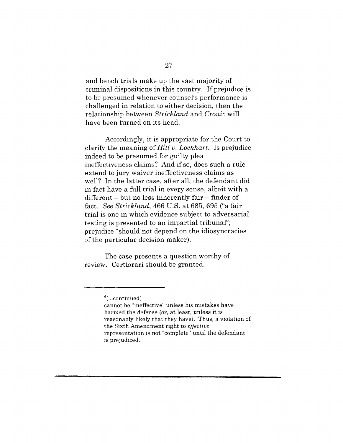and bench trials make up the vast majority of criminal dispositions in this country. If prejudice is to be presumed whenever counsel's performance is challenged in relation to either decision, then the relationship between *Strickland* and *Cronic* will have been turned on its head.

Accordingly, it is appropriate for the Court to clarify the meaning of *Hill v. Lockhart.* Is prejudice indeed to be presumed for guilty plea ineffectiveness claims? And if so, does such a rule extend to jury waiver ineffectiveness claims as well? In the latter case, after all, the defendant did in fact have a full trial in every sense, albeit with a  $differential$  - but no less inherently fair - finder of fact. *See Strickland,* 466 U.S. at 685, 695 ("a fair trial is one in which evidence subject to adversarial testing is presented to an impartial tribunal"; prejudice "should not depend on the idiosyncracies of the particular decision maker).

The case presents a question worthy of review. Certiorari should be granted.

**<sup>6(...</sup>continued)**

cannot be "ineffective" unless his mistakes have harmed the defense (or, at least, unless it is reasonably likely that they have). Thus, a violation of the Sixth Amendment right to *effective* representation is not "complete" until the defendant is prejudiced.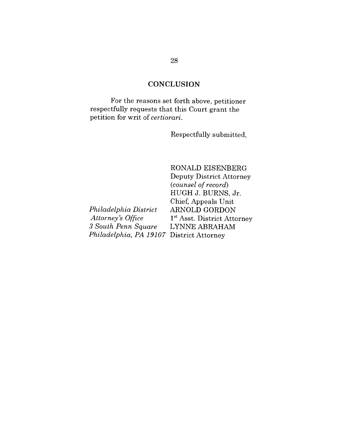## **CONCLUSION**

For the reasons set forth above, petitioner respectfully requests that this Court grant the petition for writ of *certiorari.*

Respectfully submitted,

*Philadelphia District Attorney's Office 3 South Penn Square Philadelphia, PA 19107* District AttorneyRONALD EISENBERG Deputy District Attorney *(counsel of record)* HUGH J. BURNS, Jr. Chief, Appeals Unit ARNOLD GORDON 1<sup>st</sup> Asst. District Attorney LYNNE ABRAHAM